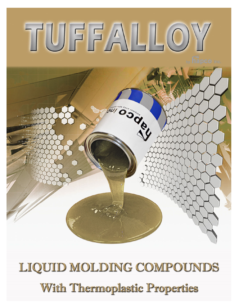# TUFFALLOY

**SOCOIL** 

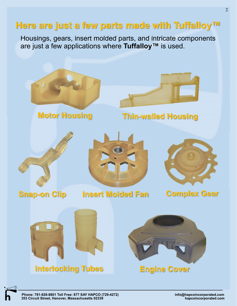# **Here are just a few parts made with Tuffalloy™**

Housings, gears, insert molded parts, and intricate components are just a few applications where **Tuffalloy™** is used.



**Phone: 781-826-8801 Toll Free: 877 SAY HAPCO (729-4272) info@hapcoincorporated.com 353 Circuit Street, Hanover, Massachusetts 02339**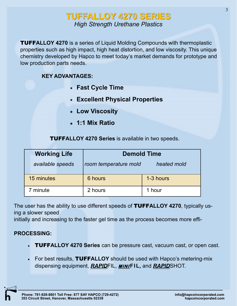# **TUFFALLOY 4270 SERIES** *High Strength Urethane Plastics*

TUFF**ALLOY 4270** is a series of Liquid Molding Compounds with thermoplastic properties such as high impact, high heat distortion, and low viscosity. This unique chemistry developed by Hapco to meet today's market demands for prototype and low production parts needs.

# **KEY ADVANTAGES:**

- **Fast Cycle Time**
- **Excellent Physical Properties**
- **Low Viscosity**
- **1:1 Mix Ratio**

TUFF**ALLOY 4270 Series** is available in two speeds.

|            | <b>Working Life</b> | <b>Demold Time</b>    |             |  |  |  |
|------------|---------------------|-----------------------|-------------|--|--|--|
|            | available speeds    | room temperature mold | heated mold |  |  |  |
| 15 minutes |                     | 6 hours               | 1-3 hours   |  |  |  |
| 7 minute   |                     | 2 hours               | 1 hour      |  |  |  |

The user has the ability to use different speeds of TUFF**ALLOY 4270**, typically using a slower speed

initially and increasing to the faster gel time as the process becomes more effi-

# **PROCESSING:**

- TUFF**ALLOY 4270 Series** can be pressure cast, vacuum cast, or open cast.
- For best results, TUFF**ALLOY** should be used with Hapco's metering-mix dispensing equipment, *RAPID*FIL, **MINI F IL,** and *RAPID*SHOT.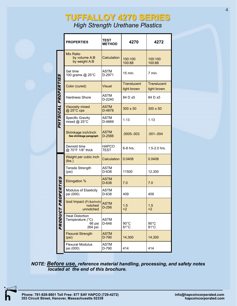# **TUFFALLOY 4270 SERIES** *High Strength Urethane Plastics*

|                     | <b>PROPERTIES</b>                                               | TEST<br><b>METHOD</b>  | 4270                              | 4272                              |
|---------------------|-----------------------------------------------------------------|------------------------|-----------------------------------|-----------------------------------|
|                     | <b>Mix Ratio</b><br>by volume A:B<br>by weight A:B              | Calculation            | 100:100<br>100:88                 | 100:100<br>100:88                 |
|                     | Gel time<br>100 grams @ 25°C                                    | <b>ASTM</b><br>D-2971  | 15 min.                           | 7 min.                            |
|                     | Color (cured)                                                   | <b>Visual</b>          | <b>Translucent</b><br>light brown | <b>Translucent</b><br>light brown |
|                     | <b>Hardness Shore</b>                                           | <b>ASTM</b><br>D-2240  | 84 D ±5                           | 84 D ±5                           |
|                     | <b>Viscosity mixed</b><br>$@$ 25 $°C$ cps                       | <b>ASTM</b><br>D-4878  | $300 \pm 50$                      | $300 \pm 50$                      |
| PHYSICAL PROPERTIES | <b>Specific Gravity</b><br>mixed $@$ 25°C                       | <b>ASTM</b><br>D-4669  | 1.13                              | 1.13                              |
|                     | Shrinkage inch/inch<br>See shrinkage paragraph                  | <b>ASTM</b><br>D-2566  | $.0005 - .003$                    | $.001 - .004$                     |
|                     | Demold time<br>@ 70°F 1/8" thick                                | HAPCO<br><b>TEST</b>   | 6-8 hrs.                          | 1.5-2.0 hrs.                      |
|                     | Weight per cubic inch<br>(lbs.)                                 | Calculation            | 0.0408                            | 0.0408                            |
|                     | Tensile Strength<br>(psi)                                       | <b>ASTM</b><br>D-638   | 11500                             | 12,300                            |
|                     | <b>Elongation %</b>                                             | <b>ASTM</b><br>D-638   | 7.0                               | 7.0                               |
| PROPERTIES          | Modulus of Elasticity<br>psi (000)                              | ASTM<br>D-638          | 409                               | 409                               |
|                     | Izod Impact (Ft.Ibs/inch)<br>notched<br>unnotched               | <b>ASTM</b><br>$D-256$ | 1.5<br>>2                         | 1.5<br>>2                         |
| PRODUCT             | <b>Heat Distortion</b><br>Temperature (°C)<br>66 psi<br>264 psi | <b>ASTM</b><br>D-648   | $90^{\circ}$ C<br>81°C            | $90^{\circ}$ C<br>81°C            |
|                     | <b>Flexural Strength</b><br>(psi)                               | <b>ASTM</b><br>D-790   | 14,300                            | 14,300                            |
|                     | <b>Flexural Modulus</b><br>psi (000)                            | ASTM<br>D-790          | 414                               | 414                               |

*NOTE: Before use, reference material handling, processing, and safety notes located at the end of this brochure.*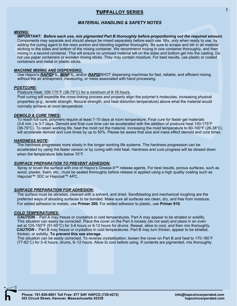## <sup>5</sup>TUFF**ALLOY SERIES**

### *MATERIAL HANDLING & SAFETY NOTES*

### *MIXING:*

*IMPORTANT: Before each use, mix pigmented Part B thoroughly before proportioning out the required amount.* Components may separate and should always be mixed separately before each use. Mix, only when ready to use, by adding the curing agent to the resin portion and blending together thoroughly. Be sure to scrape and stir in all material sticking to the sides and bottom of the mixing container. We recommend mixing in one container thoroughly, and then mixing in a second container. This will ensure no unmixed material left on the sides and bottom get into the casting. Do not use paper containers or wooden mixing sticks. They may contain moisture. For best results, use plastic or coated containers and metal or plastic sticks.

### *MACHINE MIXING AND DISPENSING:*

Use Hapco's *RAPID*FIL, *MINI*FIL, and/or *RAPID*SHOT dispensing machines for fast, reliable, and efficient mixing without the air entrapment, measuring, or mess associated with hand processing.

### *POSTCURE:*

### Postcure Heat: 100-175°F (38-79°C) for a *minimum* of 8-16 hours.

Post curing will expedite the cross-linking process and properly align the polymer's molecules, increasing physical properties (e.g., tensile strength, flexural strength, and heat distortion temperature) above what the material would normally achieve at room temperature.

### *DEMOLD & CURE TIMES:*

To reach full cure, polymers require at least 7-10 days at room temperature. Final cure for faster gel materials (3-6 min.) is 3-7 days. Demold and final cure time can be accelerated with the addition of postcure heat 100-175°F (38-79°C). To retain working life, heat the mold not the material. Increasing the mold temperature to 80-100°F (26-38°C) will accelerate demold and cure times by up to 50%. Please be aware that size and mass effect demold and cure times.

### *HARDNESS NOTE:*

 The hardness progresses more slowly in the longer working life systems. The hardness progression can be accelerated by using the faster version or by curing with mild heat. Hardness and cure progress will be slowed down when the temperature falls below 70°F.

### *SURFACE PREPARATION TO PREVENT ADHESION:*

Spray or brush the surface with one of Hapco's Grease-It™ release agents. For best results, porous surfaces, such as wood, plaster, foam, etc., must be sealed thoroughly before release is applied using a high quality coating such as Hapcoat™ 3DC or Hapcoat™ APC.

### *SURFACE PREPARATION FOR ADHESION:*

The surface must be abraded, cleaned with a solvent, and dried. Sandblasting and mechanical roughing are the preferred ways of abrading surfaces to be bonded. Make sure all surfaces are clean, dry, and free from moisture. For added adhesion to metals, use **Primer 200**. For added adhesion to plastic, use **Primer 810**.

### *COLD TEMPERATURES:*

*CAUTION* - Part A may freeze or crystallize in cold temperatures. Part A may appear to be striated or solidify. This situation can easily be corrected. Place the cover on the Part A loosely (do not seal) and place in an oven set at 125-150°F (51-65°C) for 3-8 hours or 8-12 hours for drums. Reseal, allow to cool, and then mix thoroughly. *CAUTION* **-** Part B may freeze or crystallize in cold temperatures. Part B may turn thicker, appear to be striated, thicken, or solidity. **To prevent this see storage.**

This situation can be easily corrected. To reverse crystallization, loosen the cover on Part B and heat to 170-180˚F (77-82˚C) for 3–6 hours, drums, 6–12 hours. Allow to cool before using. If contents are pigmented, mix thoroughly.